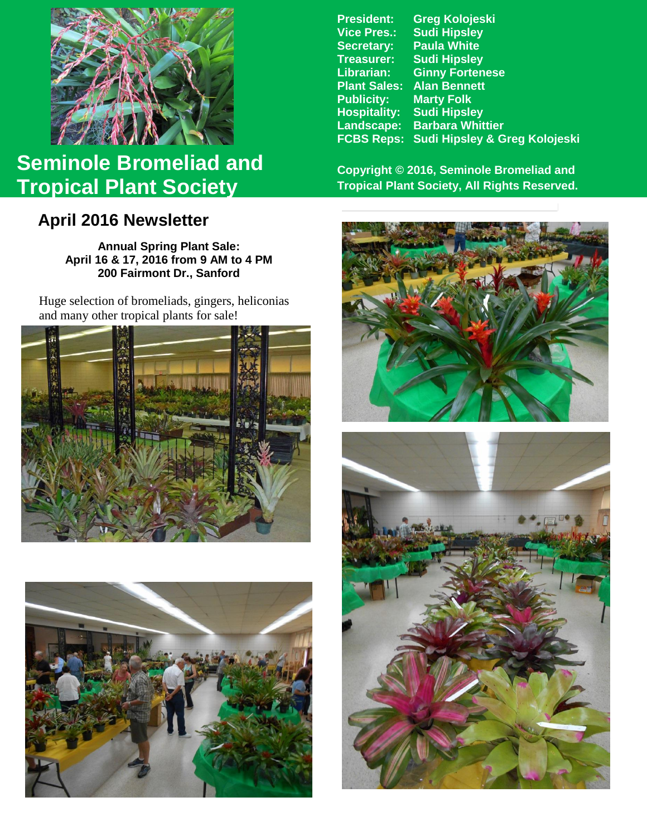

# **Seminole Bromeliad and Tropical Plant Society**

## **April 2016 Newsletter**

**Annual Spring Plant Sale: April 16 & 17, 2016 from 9 AM to 4 PM 200 Fairmont Dr., Sanford**

Huge selection of bromeliads, gingers, heliconias and many other tropical plants for sale!





**President: Greg Kolojeski Vice Pres.: Sudi Hipsley Secretary: Paula White Treasurer: Sudi Hipsley Librarian: Ginny Fortenese Alan Bennett**<br>Marty Folk **Publicity: Hospitality: Sudi Hipsley Landscape: Barbara Whittier FCBS Reps: Sudi Hipsley & Greg Kolojeski**

**Copyright © 2016, Seminole Bromeliad and Tropical Plant Society, All Rights Reserved.**